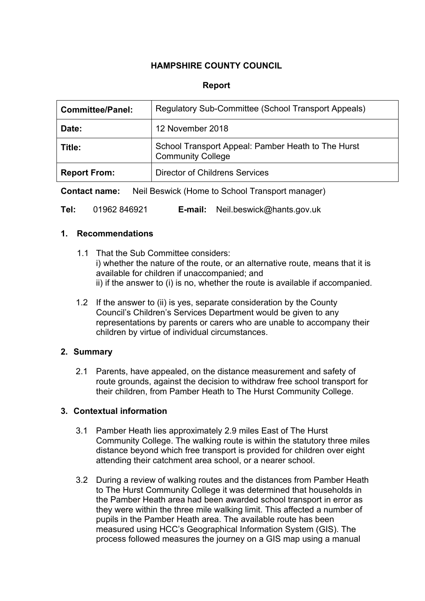# **HAMPSHIRE COUNTY COUNCIL**

### **Report**

| <b>Committee/Panel:</b> | Regulatory Sub-Committee (School Transport Appeals)                            |
|-------------------------|--------------------------------------------------------------------------------|
| Date:                   | 12 November 2018                                                               |
| Title:                  | School Transport Appeal: Pamber Heath to The Hurst<br><b>Community College</b> |
| <b>Report From:</b>     | <b>Director of Childrens Services</b>                                          |

**Contact name:** Neil Beswick (Home to School Transport manager)

**Tel:** 01962 846921 **E-mail:** Neil.beswick@hants.gov.uk

#### **1. Recommendations**

- 1.1 That the Sub Committee considers: i) whether the nature of the route, or an alternative route, means that it is available for children if unaccompanied; and ii) if the answer to (i) is no, whether the route is available if accompanied.
- 1.2 If the answer to (ii) is yes, separate consideration by the County Council's Children's Services Department would be given to any representations by parents or carers who are unable to accompany their children by virtue of individual circumstances.

#### **2. Summary**

2.1 Parents, have appealed, on the distance measurement and safety of route grounds, against the decision to withdraw free school transport for their children, from Pamber Heath to The Hurst Community College.

#### **3. Contextual information**

- 3.1 Pamber Heath lies approximately 2.9 miles East of The Hurst Community College. The walking route is within the statutory three miles distance beyond which free transport is provided for children over eight attending their catchment area school, or a nearer school.
- 3.2 During a review of walking routes and the distances from Pamber Heath to The Hurst Community College it was determined that households in the Pamber Heath area had been awarded school transport in error as they were within the three mile walking limit. This affected a number of pupils in the Pamber Heath area. The available route has been measured using HCC's Geographical Information System (GIS). The process followed measures the journey on a GIS map using a manual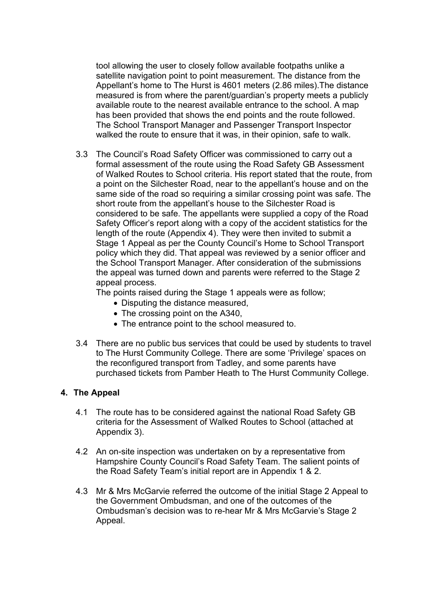tool allowing the user to closely follow available footpaths unlike a satellite navigation point to point measurement. The distance from the Appellant's home to The Hurst is 4601 meters (2.86 miles).The distance measured is from where the parent/guardian's property meets a publicly available route to the nearest available entrance to the school. A map has been provided that shows the end points and the route followed. The School Transport Manager and Passenger Transport Inspector walked the route to ensure that it was, in their opinion, safe to walk.

3.3 The Council's Road Safety Officer was commissioned to carry out a formal assessment of the route using the Road Safety GB Assessment of Walked Routes to School criteria. His report stated that the route, from a point on the Silchester Road, near to the appellant's house and on the same side of the road so requiring a similar crossing point was safe. The short route from the appellant's house to the Silchester Road is considered to be safe. The appellants were supplied a copy of the Road Safety Officer's report along with a copy of the accident statistics for the length of the route (Appendix 4). They were then invited to submit a Stage 1 Appeal as per the County Council's Home to School Transport policy which they did. That appeal was reviewed by a senior officer and the School Transport Manager. After consideration of the submissions the appeal was turned down and parents were referred to the Stage 2 appeal process.

The points raised during the Stage 1 appeals were as follow;

- Disputing the distance measured,
- The crossing point on the A340,
- The entrance point to the school measured to.
- 3.4 There are no public bus services that could be used by students to travel to The Hurst Community College. There are some 'Privilege' spaces on the reconfigured transport from Tadley, and some parents have purchased tickets from Pamber Heath to The Hurst Community College.

#### **4. The Appeal**

- 4.1 The route has to be considered against the national Road Safety GB criteria for the Assessment of Walked Routes to School (attached at Appendix 3).
- 4.2 An on-site inspection was undertaken on by a representative from Hampshire County Council's Road Safety Team. The salient points of the Road Safety Team's initial report are in Appendix 1 & 2.
- 4.3 Mr & Mrs McGarvie referred the outcome of the initial Stage 2 Appeal to the Government Ombudsman, and one of the outcomes of the Ombudsman's decision was to re-hear Mr & Mrs McGarvie's Stage 2 Appeal.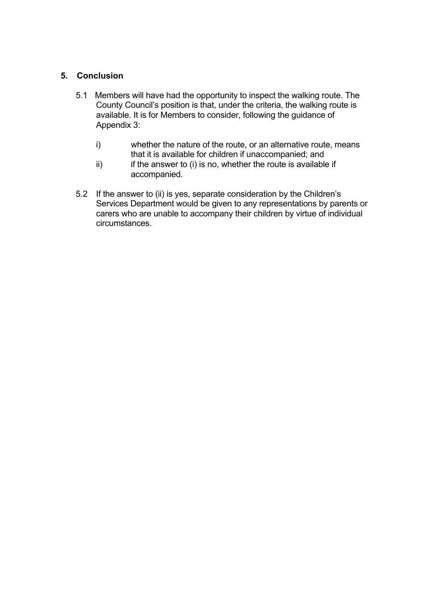# **5. Conclusion**

- 5.1 Members will have had the opportunity to inspect the walking route. The County Council's position is that, under the criteria, the walking route is available. It is for Members to consider, following the guidance of Appendix 3:
	- i) whether the nature of the route, or an alternative route, means that it is available for children if unaccompanied; and
	- $ii)$  if the answer to (i) is no, whether the route is available if accompanied.
- 5.2 If the answer to (ii) is yes, separate consideration by the Children's Services Department would be given to any representations by parents or carers who are unable to accompany their children by virtue of individual circumstances.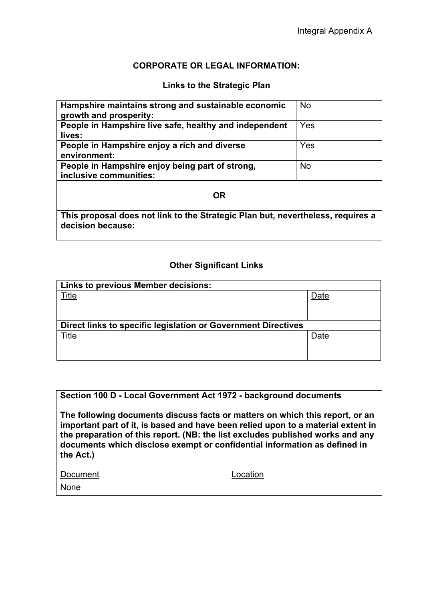#### **CORPORATE OR LEGAL INFORMATION:**

#### **Links to the Strategic Plan**

| Hampshire maintains strong and sustainable economic<br>growth and prosperity:                        | <b>No</b> |  |  |  |
|------------------------------------------------------------------------------------------------------|-----------|--|--|--|
| People in Hampshire live safe, healthy and independent<br>lives:                                     | Yes       |  |  |  |
| People in Hampshire enjoy a rich and diverse<br>environment:                                         | Yes       |  |  |  |
| People in Hampshire enjoy being part of strong,<br>inclusive communities:                            | <b>No</b> |  |  |  |
| <b>OR</b>                                                                                            |           |  |  |  |
| This proposal does not link to the Strategic Plan but, nevertheless, requires a<br>decision because: |           |  |  |  |

## **Other Significant Links**

| Links to previous Member decisions:                           |      |  |  |
|---------------------------------------------------------------|------|--|--|
| Title                                                         | Date |  |  |
|                                                               |      |  |  |
|                                                               |      |  |  |
| Direct links to specific legislation or Government Directives |      |  |  |
| Title                                                         | Date |  |  |
|                                                               |      |  |  |
|                                                               |      |  |  |

#### **Section 100 D - Local Government Act 1972 - background documents**

**The following documents discuss facts or matters on which this report, or an important part of it, is based and have been relied upon to a material extent in the preparation of this report. (NB: the list excludes published works and any documents which disclose exempt or confidential information as defined in the Act.)**

| Document |  |
|----------|--|
|          |  |

None

ocation